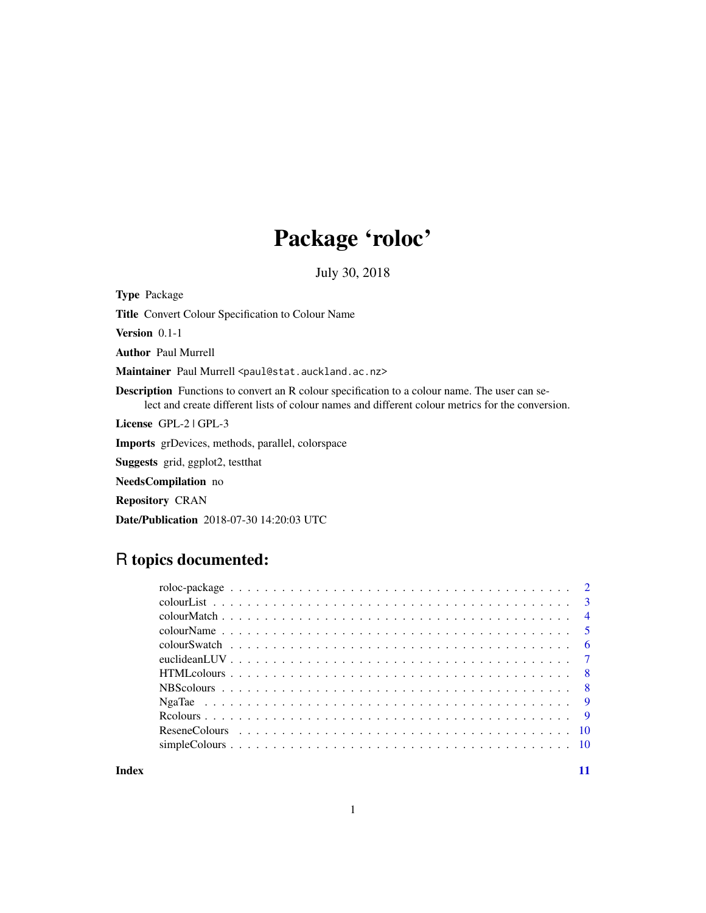## Package 'roloc'

July 30, 2018

Type Package

Title Convert Colour Specification to Colour Name

Version 0.1-1

Author Paul Murrell

Maintainer Paul Murrell <paul@stat.auckland.ac.nz>

Description Functions to convert an R colour specification to a colour name. The user can select and create different lists of colour names and different colour metrics for the conversion.

License GPL-2 | GPL-3

Imports grDevices, methods, parallel, colorspace

Suggests grid, ggplot2, testthat

NeedsCompilation no

Repository CRAN

Date/Publication 2018-07-30 14:20:03 UTC

## R topics documented:

**Index** [11](#page-10-0)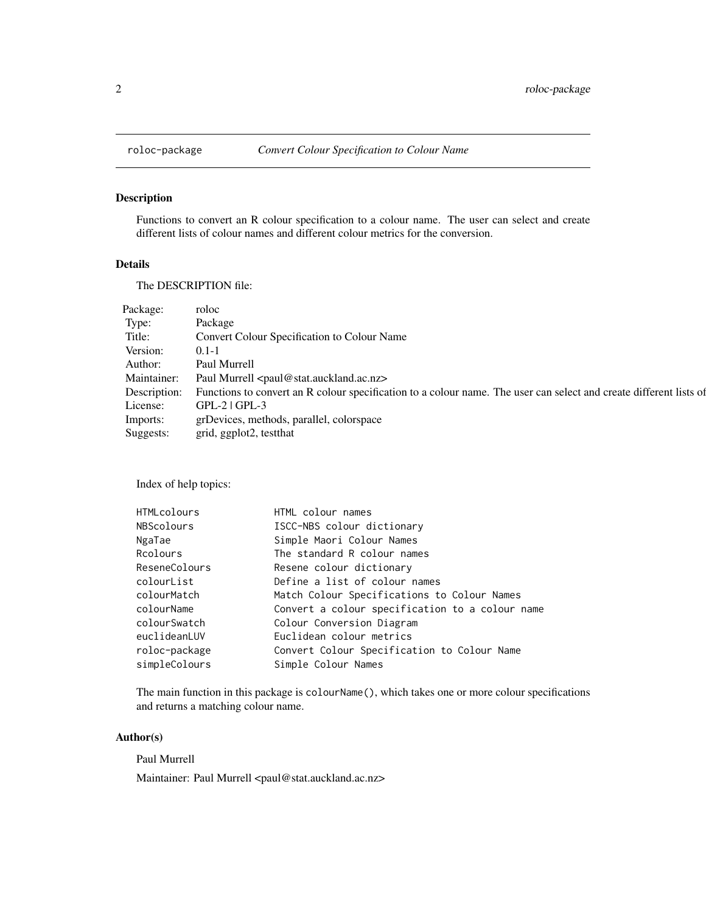<span id="page-1-0"></span>

Functions to convert an R colour specification to a colour name. The user can select and create different lists of colour names and different colour metrics for the conversion.

## Details

The DESCRIPTION file:

| Package:     | roloc                                                                                                              |
|--------------|--------------------------------------------------------------------------------------------------------------------|
| Type:        | Package                                                                                                            |
| Title:       | <b>Convert Colour Specification to Colour Name</b>                                                                 |
| Version:     | $0.1 - 1$                                                                                                          |
| Author:      | Paul Murrell                                                                                                       |
| Maintainer:  | Paul Murrell <paul@stat.auckland.ac.nz></paul@stat.auckland.ac.nz>                                                 |
| Description: | Functions to convert an R colour specification to a colour name. The user can select and create different lists of |
| License:     | $GPL-2$   $GPL-3$                                                                                                  |
| Imports:     | grDevices, methods, parallel, colorspace                                                                           |
| Suggests:    | grid, ggplot2, testthat                                                                                            |

Index of help topics:

| <b>HTMLcolours</b> | HTML colour names                               |
|--------------------|-------------------------------------------------|
| NBScolours         | ISCC-NBS colour dictionary                      |
| NgaTae             | Simple Maori Colour Names                       |
| Rcolours           | The standard R colour names                     |
| ReseneColours      | Resene colour dictionary                        |
| colourList         | Define a list of colour names                   |
| colourMatch        | Match Colour Specifications to Colour Names     |
| colourName         | Convert a colour specification to a colour name |
| colourSwatch       | Colour Conversion Diagram                       |
| euclideanLUV       | Euclidean colour metrics                        |
| roloc-package      | Convert Colour Specification to Colour Name     |
| simpleColours      | Simple Colour Names                             |
|                    |                                                 |

The main function in this package is colourName(), which takes one or more colour specifications and returns a matching colour name.

#### Author(s)

Paul Murrell

Maintainer: Paul Murrell <paul@stat.auckland.ac.nz>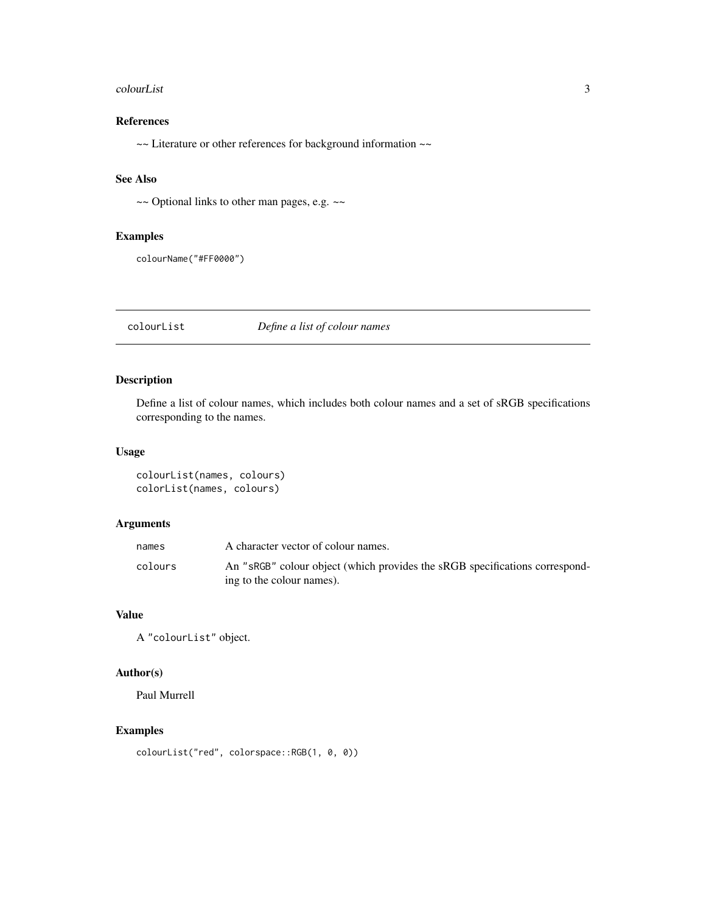#### <span id="page-2-0"></span>colourList 3

## References

~~ Literature or other references for background information ~~

## See Also

~~ Optional links to other man pages, e.g. ~~

#### Examples

```
colourName("#FF0000")
```
colourList *Define a list of colour names*

## Description

Define a list of colour names, which includes both colour names and a set of sRGB specifications corresponding to the names.

#### Usage

```
colourList(names, colours)
colorList(names, colours)
```
## Arguments

| A character vector of colour names.                                                                      |
|----------------------------------------------------------------------------------------------------------|
| An "sRGB" colour object (which provides the sRGB specifications correspond-<br>ing to the colour names). |
|                                                                                                          |

## Value

A "colourList" object.

## Author(s)

Paul Murrell

## Examples

colourList("red", colorspace::RGB(1, 0, 0))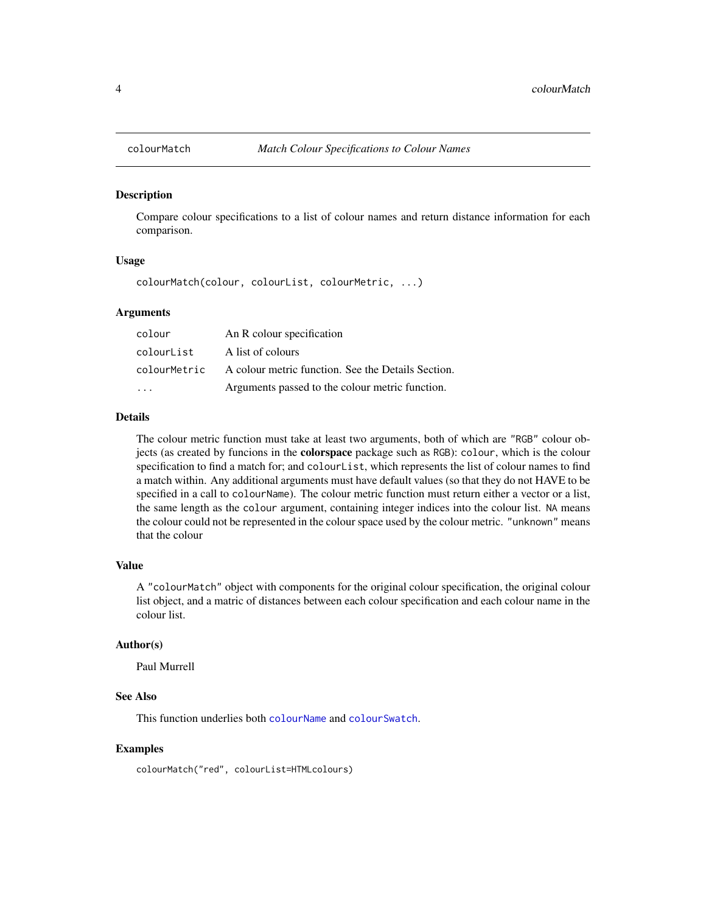<span id="page-3-1"></span><span id="page-3-0"></span>

Compare colour specifications to a list of colour names and return distance information for each comparison.

#### Usage

colourMatch(colour, colourList, colourMetric, ...)

#### Arguments

| colour       | An R colour specification                          |
|--------------|----------------------------------------------------|
| colourList   | A list of colours                                  |
| colourMetric | A colour metric function. See the Details Section. |
| .            | Arguments passed to the colour metric function.    |

#### Details

The colour metric function must take at least two arguments, both of which are "RGB" colour objects (as created by funcions in the colorspace package such as RGB): colour, which is the colour specification to find a match for; and colourList, which represents the list of colour names to find a match within. Any additional arguments must have default values (so that they do not HAVE to be specified in a call to colourName). The colour metric function must return either a vector or a list, the same length as the colour argument, containing integer indices into the colour list. NA means the colour could not be represented in the colour space used by the colour metric. "unknown" means that the colour

#### Value

A "colourMatch" object with components for the original colour specification, the original colour list object, and a matric of distances between each colour specification and each colour name in the colour list.

#### Author(s)

Paul Murrell

#### See Also

This function underlies both [colourName](#page-4-1) and [colourSwatch](#page-5-1).

#### Examples

colourMatch("red", colourList=HTMLcolours)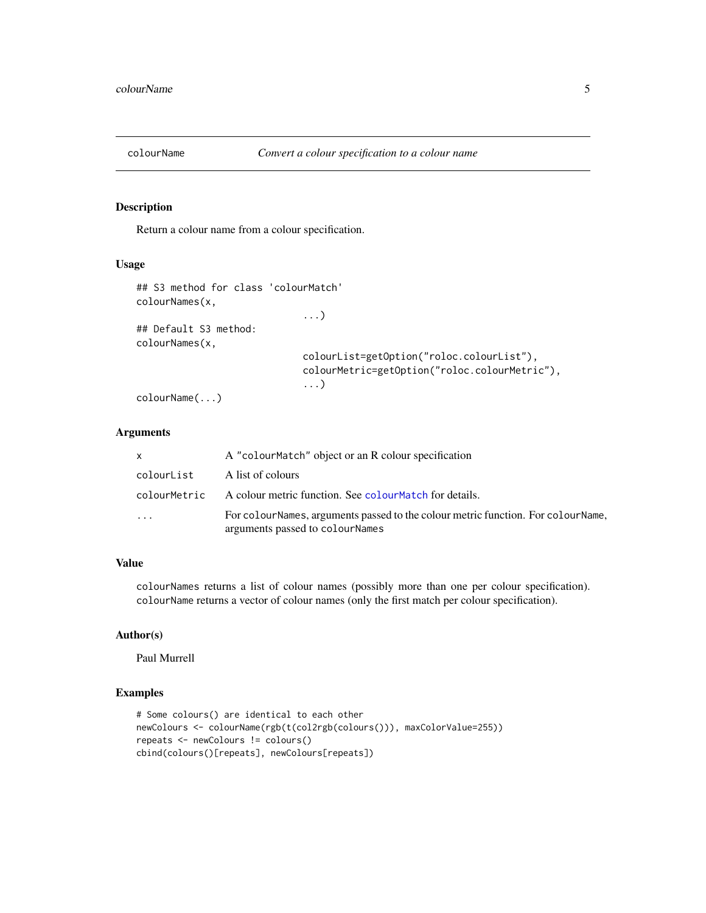<span id="page-4-1"></span><span id="page-4-0"></span>

Return a colour name from a colour specification.

#### Usage

```
## S3 method for class 'colourMatch'
colourNames(x,
                              ...)
## Default S3 method:
colourNames(x,
                              colourList=getOption("roloc.colourList"),
                              colourMetric=getOption("roloc.colourMetric"),
                              ...)
```
colourName(...)

## Arguments

| x          | A "colourMatch" object or an R colour specification                                                                   |
|------------|-----------------------------------------------------------------------------------------------------------------------|
| colourList | A list of colours                                                                                                     |
|            | colourMetric A colour metric function. See colourMatch for details.                                                   |
| $\cdots$   | For colour Names, arguments passed to the colour metric function. For colour Name,<br>arguments passed to colourNames |

#### Value

colourNames returns a list of colour names (possibly more than one per colour specification). colourName returns a vector of colour names (only the first match per colour specification).

## Author(s)

Paul Murrell

## Examples

```
# Some colours() are identical to each other
newColours <- colourName(rgb(t(col2rgb(colours())), maxColorValue=255))
repeats <- newColours != colours()
cbind(colours()[repeats], newColours[repeats])
```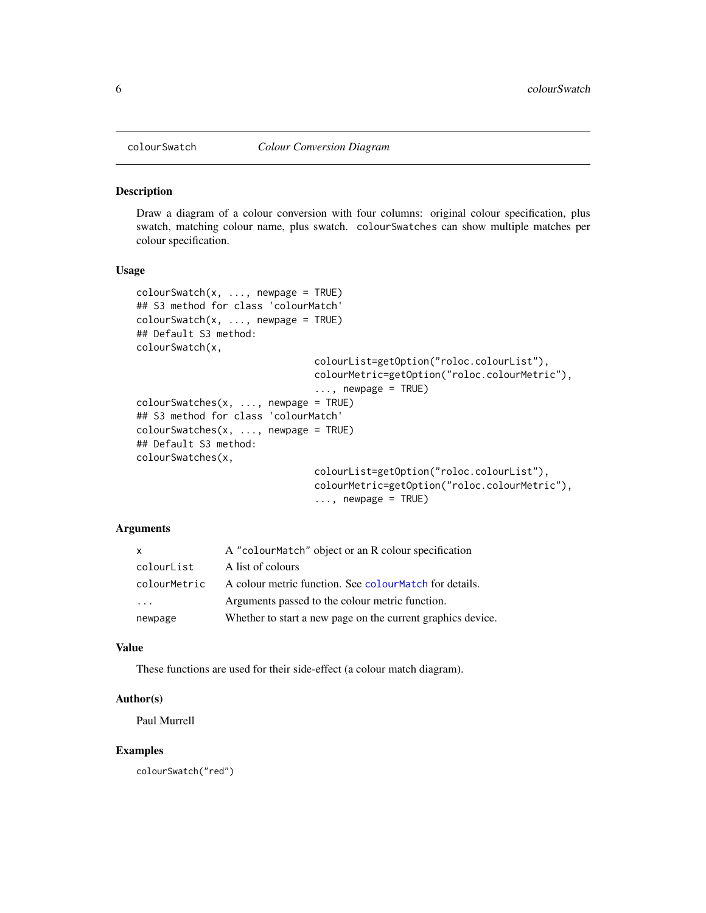<span id="page-5-1"></span><span id="page-5-0"></span>

Draw a diagram of a colour conversion with four columns: original colour specification, plus swatch, matching colour name, plus swatch. colourSwatches can show multiple matches per colour specification.

#### Usage

```
colourSwatch(x, ..., newpage = TRUE)
## S3 method for class 'colourMatch'
colourSwatch(x, ..., newpage = TRUE)## Default S3 method:
colourSwatch(x,
                               colourList=getOption("roloc.colourList"),
                               colourMetric=getOption("roloc.colourMetric"),
                                \ldots, newpage = TRUE)
colourSwatches(x, ..., newpage = TRUE)
## S3 method for class 'colourMatch'
colourSwatches(x, ..., newpage = TRUE)
## Default S3 method:
colourSwatches(x,
                               colourList=getOption("roloc.colourList"),
                               colourMetric=getOption("roloc.colourMetric"),
                                \ldots, newpage = TRUE)
```
#### Arguments

| X.                      | A "colourMatch" object or an R colour specification         |
|-------------------------|-------------------------------------------------------------|
| colourList              | A list of colours                                           |
| colourMetric            | A colour metric function. See colour Match for details.     |
| $\cdot$ $\cdot$ $\cdot$ | Arguments passed to the colour metric function.             |
| newpage                 | Whether to start a new page on the current graphics device. |

#### Value

These functions are used for their side-effect (a colour match diagram).

#### Author(s)

Paul Murrell

#### Examples

colourSwatch("red")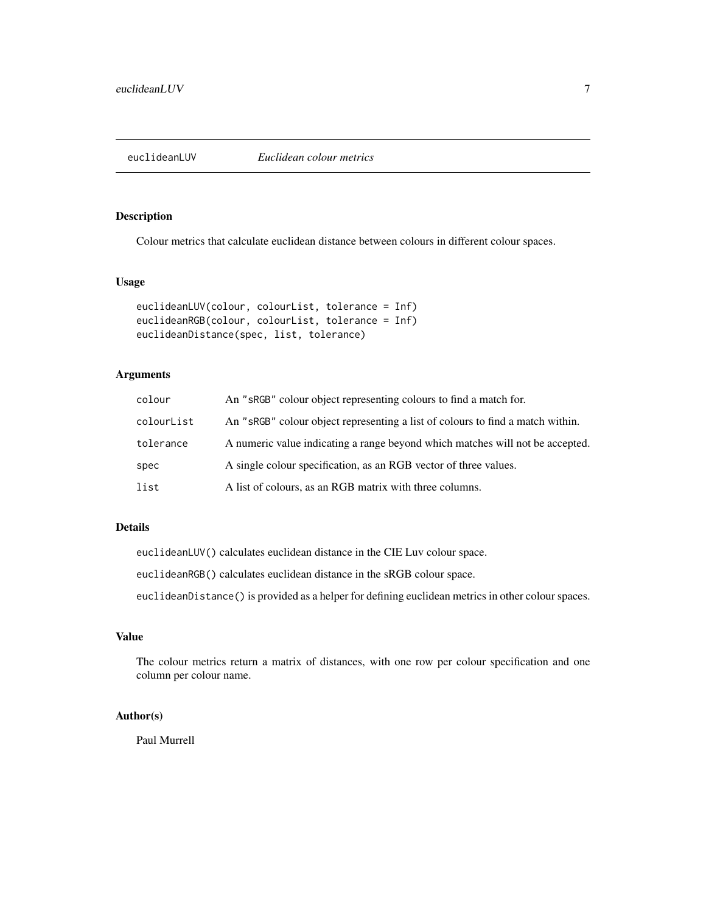<span id="page-6-0"></span>

Colour metrics that calculate euclidean distance between colours in different colour spaces.

#### Usage

```
euclideanLUV(colour, colourList, tolerance = Inf)
euclideanRGB(colour, colourList, tolerance = Inf)
euclideanDistance(spec, list, tolerance)
```
## Arguments

| colour     | An "sRGB" colour object representing colours to find a match for.              |
|------------|--------------------------------------------------------------------------------|
| colourList | An "sRGB" colour object representing a list of colours to find a match within. |
| tolerance  | A numeric value indicating a range beyond which matches will not be accepted.  |
| spec       | A single colour specification, as an RGB vector of three values.               |
| list       | A list of colours, as an RGB matrix with three columns.                        |

## Details

euclideanLUV() calculates euclidean distance in the CIE Luv colour space.

euclideanRGB() calculates euclidean distance in the sRGB colour space.

euclideanDistance() is provided as a helper for defining euclidean metrics in other colour spaces.

## Value

The colour metrics return a matrix of distances, with one row per colour specification and one column per colour name.

## Author(s)

Paul Murrell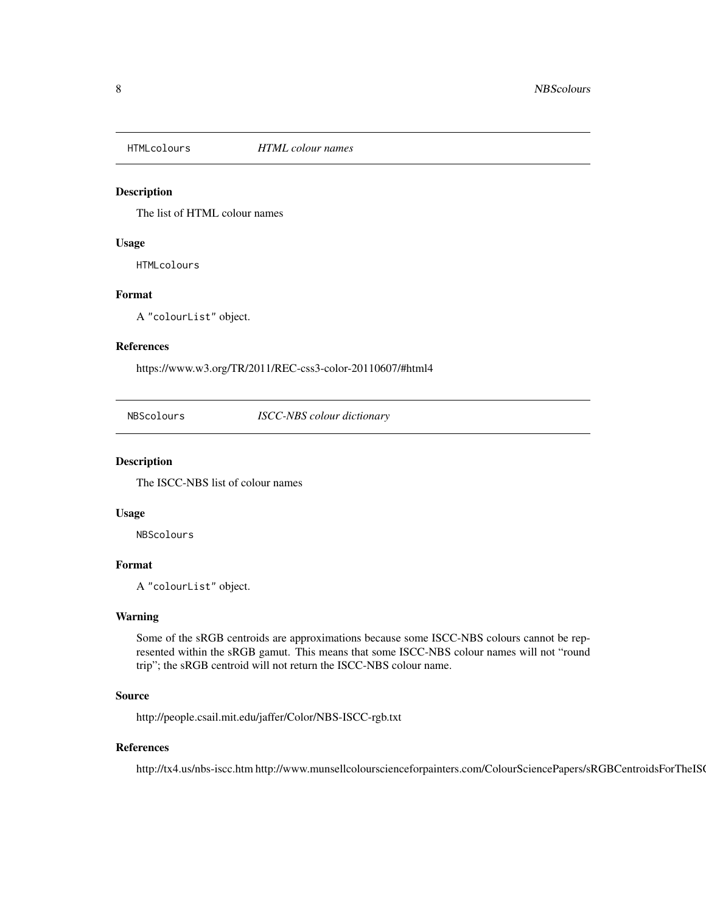<span id="page-7-0"></span>

The list of HTML colour names

#### Usage

HTMLcolours

#### Format

A "colourList" object.

#### References

https://www.w3.org/TR/2011/REC-css3-color-20110607/#html4

NBScolours *ISCC-NBS colour dictionary*

#### Description

The ISCC-NBS list of colour names

#### Usage

NBScolours

## Format

A "colourList" object.

## Warning

Some of the sRGB centroids are approximations because some ISCC-NBS colours cannot be represented within the sRGB gamut. This means that some ISCC-NBS colour names will not "round trip"; the sRGB centroid will not return the ISCC-NBS colour name.

#### Source

http://people.csail.mit.edu/jaffer/Color/NBS-ISCC-rgb.txt

#### References

http://tx4.us/nbs-iscc.htm http://www.munsellcolourscienceforpainters.com/ColourSciencePapers/sRGBCentroidsForTheIS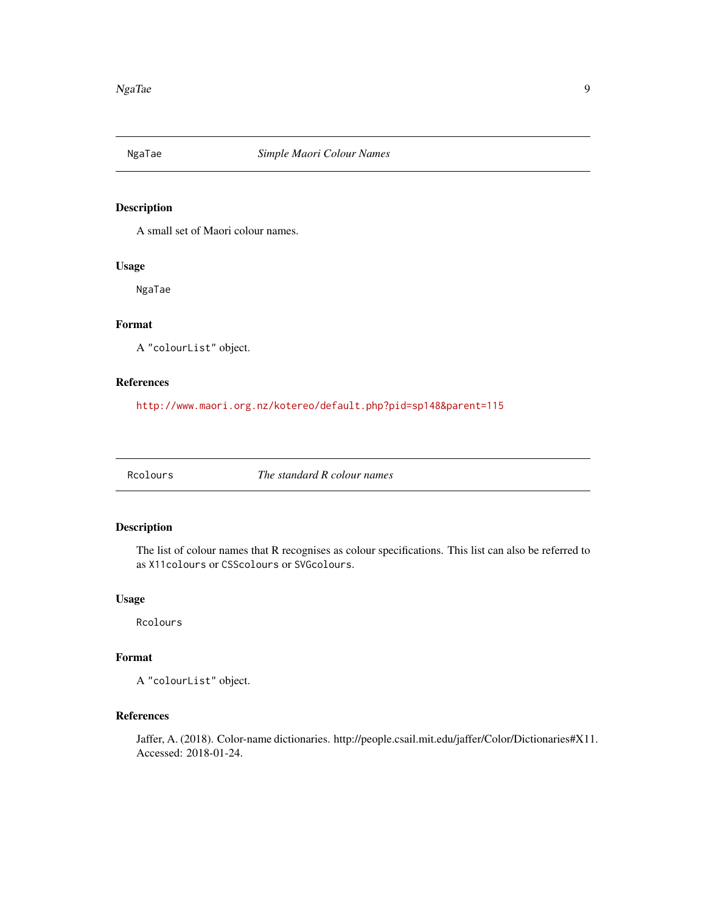<span id="page-8-0"></span>

A small set of Maori colour names.

## Usage

NgaTae

## Format

A "colourList" object.

#### References

<http://www.maori.org.nz/kotereo/default.php?pid=sp148&parent=115>

Rcolours *The standard R colour names*

## Description

The list of colour names that R recognises as colour specifications. This list can also be referred to as X11colours or CSScolours or SVGcolours.

#### Usage

Rcolours

## Format

A "colourList" object.

## References

Jaffer, A. (2018). Color-name dictionaries. http://people.csail.mit.edu/jaffer/Color/Dictionaries#X11. Accessed: 2018-01-24.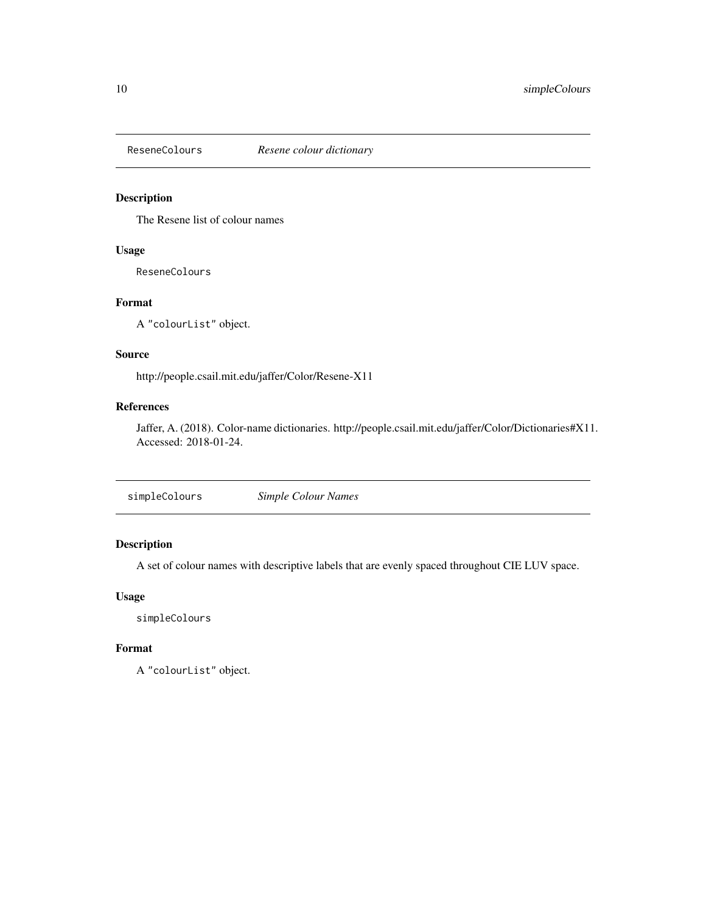<span id="page-9-0"></span>

The Resene list of colour names

## Usage

ReseneColours

## Format

A "colourList" object.

#### Source

http://people.csail.mit.edu/jaffer/Color/Resene-X11

## References

Jaffer, A. (2018). Color-name dictionaries. http://people.csail.mit.edu/jaffer/Color/Dictionaries#X11. Accessed: 2018-01-24.

|--|

## Description

A set of colour names with descriptive labels that are evenly spaced throughout CIE LUV space.

#### Usage

simpleColours

#### Format

A "colourList" object.